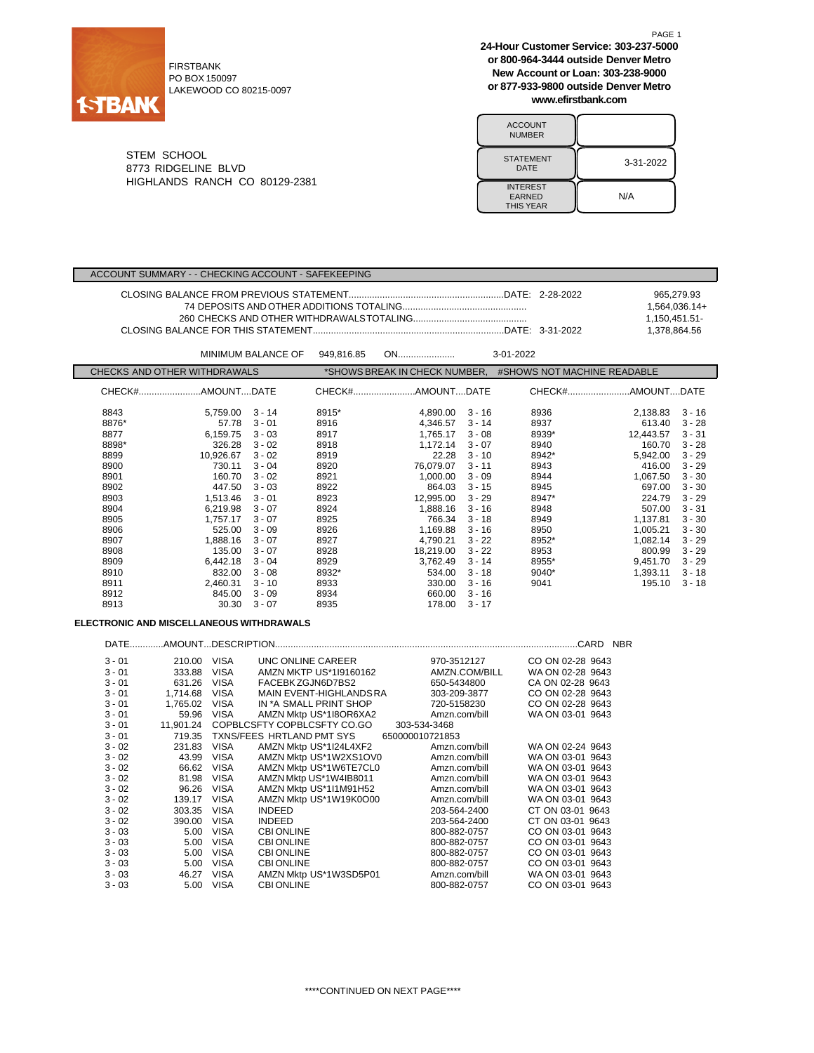

FIRSTBANK PO BOX 150097 LAKEWOOD CO 80215-0097 **24-Hour Customer Service: 303-237-5000 or 800-964-3444 outside Denver Metro New Account or Loan: 303-238-9000 or 877-933-9800 outside Denver Metro www.efirstbank.com**

| <b>ACCOUNT</b><br><b>NUMBER</b>                      |           |
|------------------------------------------------------|-----------|
| <b>STATEMENT</b><br>DATE                             | 3-31-2022 |
| <b>INTEREST</b><br><b>EARNED</b><br><b>THIS YEAR</b> | N/A       |

STEM SCHOOL 8773 RIDGELINE BLVD HIGHLANDS RANCH CO 80129-2381

## ACCOUNT SUMMARY - - CHECKING ACCOUNT - SAFEKEEPING

|  | 965.279.93    |
|--|---------------|
|  | 1,564,036.14+ |
|  | 1.150.451.51- |
|  | 1.378.864.56  |

|                              |           | <b>MINIMUM BALANCE OF</b> | 949.816.85 | ON                            |          | 3-01-2022                   |           |          |
|------------------------------|-----------|---------------------------|------------|-------------------------------|----------|-----------------------------|-----------|----------|
| CHECKS AND OTHER WITHDRAWALS |           |                           |            | *SHOWS BREAK IN CHECK NUMBER, |          | #SHOWS NOT MACHINE READABLE |           |          |
|                              |           |                           |            | CHECK#AMOUNTDATE              |          |                             |           |          |
| 8843                         | 5,759.00  | $3 - 14$                  | 8915*      | 4,890.00                      | $3 - 16$ | 8936                        | 2,138.83  | $3 - 16$ |
| 8876*                        | 57.78     | $3 - 01$                  | 8916       | 4.346.57                      | $3 - 14$ | 8937                        | 613.40    | $3 - 28$ |
| 8877                         | 6,159.75  | $3 - 03$                  | 8917       | 1,765.17                      | $3 - 08$ | 8939*                       | 12.443.57 | $3 - 31$ |
| 8898*                        | 326.28    | $3 - 02$                  | 8918       | 1.172.14                      | $3 - 07$ | 8940                        | 160.70    | $3 - 28$ |
| 8899                         | 10,926.67 | $3 - 02$                  | 8919       | 22.28                         | $3 - 10$ | 8942*                       | 5.942.00  | $3 - 29$ |
| 8900                         | 730.11    | $3 - 04$                  | 8920       | 76.079.07                     | $3 - 11$ | 8943                        | 416.00    | $3 - 29$ |
| 8901                         | 160.70    | $3 - 02$                  | 8921       | 1.000.00                      | $3 - 09$ | 8944                        | 1.067.50  | $3 - 30$ |
| 8902                         | 447.50    | $3 - 03$                  | 8922       | 864.03                        | $3 - 15$ | 8945                        | 697.00    | $3 - 30$ |
| 8903                         | 1,513.46  | $3 - 01$                  | 8923       | 12,995.00                     | $3 - 29$ | 8947*                       | 224.79    | $3 - 29$ |
| 8904                         | 6,219.98  | $3 - 07$                  | 8924       | 1,888.16                      | $3 - 16$ | 8948                        | 507.00    | $3 - 31$ |
| 8905                         | 1,757.17  | $3 - 07$                  | 8925       | 766.34                        | $3 - 18$ | 8949                        | 1,137.81  | $3 - 30$ |
| 8906                         | 525.00    | $3 - 09$                  | 8926       | 1,169.88                      | $3 - 16$ | 8950                        | 1,005.21  | $3 - 30$ |
| 8907                         | 1,888.16  | $3 - 07$                  | 8927       | 4,790.21                      | $3 - 22$ | 8952*                       | 1,082.14  | $3 - 29$ |
| 8908                         | 135.00    | $3 - 07$                  | 8928       | 18,219.00                     | $3 - 22$ | 8953                        | 800.99    | $3 - 29$ |
| 8909                         | 6,442.18  | $3 - 04$                  | 8929       | 3,762.49                      | $3 - 14$ | 8955*                       | 9,451.70  | $3 - 29$ |
| 8910                         | 832.00    | $3 - 08$                  | 8932*      | 534.00                        | $3 - 18$ | $9040*$                     | 1,393.11  | $3 - 18$ |
| 8911                         | 2,460.31  | $3 - 10$                  | 8933       | 330.00                        | $3 - 16$ | 9041                        | 195.10    | $3 - 18$ |
| 8912                         | 845.00    | $3 - 09$                  | 8934       | 660.00                        | $3 - 16$ |                             |           |          |
| 8913                         | 30.30     | $3 - 07$                  | 8935       | 178.00                        | $3 - 17$ |                             |           |          |

# **ELECTRONIC AND MISCELLANEOUS WITHDRAWALS**

| <b>DATE</b> |           |             |                             |                 | <b>NBR</b>       |
|-------------|-----------|-------------|-----------------------------|-----------------|------------------|
| $3 - 01$    | 210.00    | <b>VISA</b> | UNC ONLINE CAREER           | 970-3512127     | CO ON 02-28 9643 |
| $3 - 01$    | 333.88    | <b>VISA</b> | AMZN MKTP US*1I9160162      | AMZN.COM/BILL   | WA ON 02-28 9643 |
| $3 - 01$    | 631.26    | <b>VISA</b> | FACEBK ZGJN6D7BS2           | 650-5434800     | CA ON 02-28 9643 |
| $3 - 01$    | 1.714.68  | <b>VISA</b> | MAIN EVENT-HIGHLANDS RA     | 303-209-3877    | CO ON 02-28 9643 |
| $3 - 01$    | 1,765.02  | <b>VISA</b> | IN *A SMALL PRINT SHOP      | 720-5158230     | CO ON 02-28 9643 |
| $3 - 01$    | 59.96     | <b>VISA</b> | AMZN Mktp US*1I8OR6XA2      | Amzn.com/bill   | WA ON 03-01 9643 |
| $3 - 01$    | 11.901.24 |             | COPBLCSFTY COPBLCSFTY CO.GO | 303-534-3468    |                  |
| $3 - 01$    | 719.35    |             | TXNS/FEES HRTLAND PMT SYS   | 650000010721853 |                  |
| $3 - 02$    | 231.83    | <b>VISA</b> | AMZN Mktp US*1I24L4XF2      | Amzn.com/bill   | WA ON 02-24 9643 |
| $3 - 02$    | 43.99     | <b>VISA</b> | AMZN Mktp US*1W2XS1OV0      | Amzn.com/bill   | WA ON 03-01 9643 |
| $3 - 02$    | 66.62     | <b>VISA</b> | AMZN Mktp US*1W6TE7CL0      | Amzn.com/bill   | WA ON 03-01 9643 |
| $3 - 02$    | 81.98     | <b>VISA</b> | AMZN Mktp US*1W4IB8011      | Amzn.com/bill   | WA ON 03-01 9643 |
| $3 - 02$    | 96.26     | <b>VISA</b> | AMZN Mktp US*1I1M91H52      | Amzn.com/bill   | WA ON 03-01 9643 |
| $3 - 02$    | 139.17    | <b>VISA</b> | AMZN Mktp US*1W19K0O00      | Amzn.com/bill   | WA ON 03-01 9643 |
| $3 - 02$    | 303.35    | <b>VISA</b> | <b>INDEED</b>               | 203-564-2400    | CT ON 03-01 9643 |
| $3 - 02$    | 390.00    | <b>VISA</b> | <b>INDEED</b>               | 203-564-2400    | CT ON 03-01 9643 |
| $3 - 03$    | 5.00      | <b>VISA</b> | <b>CBI ONLINE</b>           | 800-882-0757    | CO ON 03-01 9643 |
| $3 - 03$    | 5.00      | <b>VISA</b> | <b>CBI ONLINE</b>           | 800-882-0757    | CO ON 03-01 9643 |
| $3 - 03$    | 5.00      | <b>VISA</b> | <b>CBI ONLINE</b>           | 800-882-0757    | CO ON 03-01 9643 |
| $3 - 03$    | 5.00      | <b>VISA</b> | <b>CBI ONLINE</b>           | 800-882-0757    | CO ON 03-01 9643 |
| $3 - 03$    | 46.27     | <b>VISA</b> | AMZN Mktp US*1W3SD5P01      | Amzn.com/bill   | WA ON 03-01 9643 |
| $3 - 03$    | 5.00      | <b>VISA</b> | <b>CBI ONLINE</b>           | 800-882-0757    | CO ON 03-01 9643 |

PAGE 1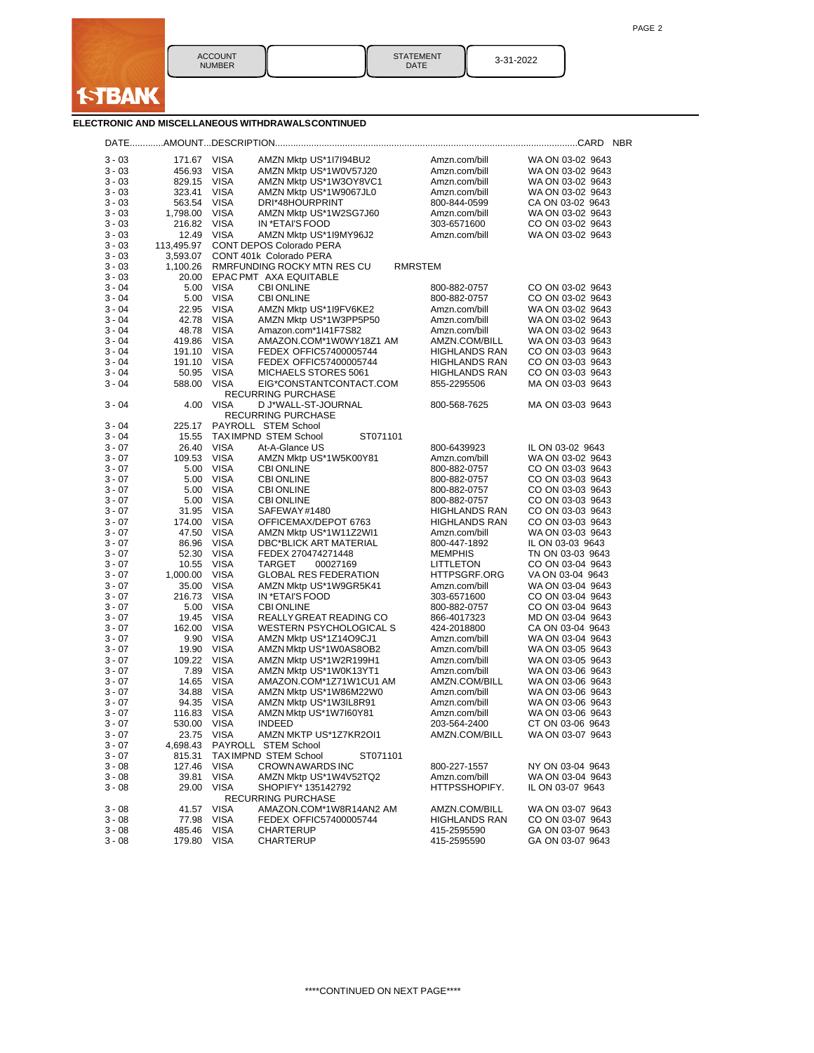

STATEMENT DATE 3-31-2022

# **ELECTRONIC AND MISCELLANEOUS WITHDRAWALSCONTINUED**

| $3 - 03$ | 171.67      | <b>VISA</b> | AMZN Mktp US*1I7I94BU2                           | Amzn.com/bill        | WA ON 03-02 9643 |
|----------|-------------|-------------|--------------------------------------------------|----------------------|------------------|
| $3 - 03$ | 456.93      | VISA        | AMZN Mktp US*1W0V57J20                           | Amzn.com/bill        | WA ON 03-02 9643 |
| $3 - 03$ | 829.15      | <b>VISA</b> | AMZN Mktp US*1W3OY8VC1                           | Amzn.com/bill        | WA ON 03-02 9643 |
| 3 - 03   | 323.41      | <b>VISA</b> | AMZN Mktp US*1W9067JL0                           | Amzn.com/bill        | WA ON 03-02 9643 |
| 3 - 03   | 563.54      | VISA        | DRI*48HOURPRINT                                  | 800-844-0599         | CA ON 03-02 9643 |
| $3 - 03$ | 1,798.00    | VISA        | AMZN Mktp US*1W2SG7J60                           | Amzn.com/bill        | WA ON 03-02 9643 |
| 3 - 03   | 216.82      | <b>VISA</b> | IN *ETAI'S FOOD                                  | 303-6571600          | CO ON 03-02 9643 |
| 3 - 03   | 12.49       | <b>VISA</b> | AMZN Mktp US*1I9MY96J2                           | Amzn.com/bill        | WA ON 03-02 9643 |
| $3 - 03$ | 113,495.97  |             | CONT DEPOS Colorado PERA                         |                      |                  |
| 3 - 03   | 3,593.07    |             | CONT 401k Colorado PERA                          |                      |                  |
| 3 - 03   | 1,100.26    |             | RMRFUNDING ROCKY MTN RES CU                      | RMRSTEM              |                  |
| $3 - 03$ | 20.00       |             | EPAC PMT AXA EQUITABLE                           |                      |                  |
| 3 - 04   | 5.00        | <b>VISA</b> | <b>CBI ONLINE</b>                                | 800-882-0757         | CO ON 03-02 9643 |
| $3 - 04$ | 5.00        | VISA        | <b>CBI ONLINE</b>                                | 800-882-0757         | CO ON 03-02 9643 |
| $3 - 04$ | 22.95       | <b>VISA</b> | AMZN Mktp US*1I9FV6KE2                           | Amzn.com/bill        | WA ON 03-02 9643 |
| 3 - 04   | 42.78       | <b>VISA</b> | AMZN Mktp US*1W3PP5P50                           | Amzn.com/bill        | WA ON 03-02 9643 |
| 3 - 04   | 48.78       | VISA        | Amazon.com*1l41F7S82                             | Amzn.com/bill        | WA ON 03-02 9643 |
| $3 - 04$ | 419.86      | VISA        | AMAZON.COM*1W0WY18Z1 AM                          | AMZN.COM/BILL        | WA ON 03-03 9643 |
| 3 - 04   | 191.10      | <b>VISA</b> | FEDEX OFFIC57400005744                           | <b>HIGHLANDS RAN</b> | CO ON 03-03 9643 |
| 3 - 04   | 191.10      | VISA        | FEDEX OFFIC57400005744                           | <b>HIGHLANDS RAN</b> | CO ON 03-03 9643 |
| $3 - 04$ | 50.95       | <b>VISA</b> | MICHAELS STORES 5061                             | <b>HIGHLANDS RAN</b> | CO ON 03-03 9643 |
| $3 - 04$ | 588.00      | <b>VISA</b> | EIG*CONSTANTCONTACT.COM<br>RECURRING PURCHASE    | 855-2295506          | MA ON 03-03 9643 |
| $3 - 04$ | 4.00        | <b>VISA</b> | D J*WALL-ST-JOURNAL<br><b>RECURRING PURCHASE</b> | 800-568-7625         | MA ON 03-03 9643 |
| $3 - 04$ | 225.17      |             | PAYROLL STEM School                              |                      |                  |
| $3 - 04$ | 15.55       |             | <b>TAXIMPND STEM School</b><br>ST071101          |                      |                  |
| 3 - 07   | 26.40       | <b>VISA</b> | At-A-Glance US                                   | 800-6439923          | IL ON 03-02 9643 |
| 3 - 07   | 109.53      | VISA        | AMZN Mktp US*1W5K00Y81                           | Amzn.com/bill        | WA ON 03-02 9643 |
| $3 - 07$ | 5.00        | VISA        | <b>CBI ONLINE</b>                                | 800-882-0757         | CO ON 03-03 9643 |
| 3 - 07   | 5.00        | <b>VISA</b> | <b>CBI ONLINE</b>                                | 800-882-0757         | CO ON 03-03 9643 |
| 3 - 07   | 5.00        | <b>VISA</b> | <b>CBI ONLINE</b>                                | 800-882-0757         | CO ON 03-03 9643 |
| $3 - 07$ | 5.00        | VISA        | <b>CBI ONLINE</b>                                | 800-882-0757         | CO ON 03-03 9643 |
| 3 - 07   | 31.95       | <b>VISA</b> | SAFEWAY#1480                                     | <b>HIGHLANDS RAN</b> | CO ON 03-03 9643 |
| 3 - 07   | 174.00      | VISA        | OFFICEMAX/DEPOT 6763                             | <b>HIGHLANDS RAN</b> | CO ON 03-03 9643 |
| $3 - 07$ | 47.50       | <b>VISA</b> | AMZN Mktp US*1W11Z2WI1                           | Amzn.com/bill        | WA ON 03-03 9643 |
| 3 - 07   | 86.96       | <b>VISA</b> | DBC*BLICK ART MATERIAL                           | 800-447-1892         | IL ON 03-03 9643 |
| 3 - 07   | 52.30       | VISA        | FEDEX 270474271448                               | <b>MEMPHIS</b>       | TN ON 03-03 9643 |
| $3 - 07$ | 10.55       | <b>VISA</b> | TARGET<br>00027169                               | <b>LITTLETON</b>     | CO ON 03-04 9643 |
| 3 - 07   | 1,000.00    | <b>VISA</b> | <b>GLOBAL RES FEDERATION</b>                     | <b>HTTPSGRF.ORG</b>  | VA ON 03-04 9643 |
| 3 - 07   | 35.00       | VISA        | AMZN Mktp US*1W9GR5K41                           | Amzn.com/bill        | WA ON 03-04 9643 |
| $3 - 07$ | 216.73      | <b>VISA</b> | IN *ETAI'S FOOD                                  | 303-6571600          | CO ON 03-04 9643 |
| 3 - 07   | 5.00        | <b>VISA</b> | <b>CBI ONLINE</b>                                | 800-882-0757         | CO ON 03-04 9643 |
| $3 - 07$ | 19.45       | <b>VISA</b> | REALLY GREAT READING CO                          | 866-4017323          | MD ON 03-04 9643 |
| $3 - 07$ | 162.00      | <b>VISA</b> | <b>WESTERN PSYCHOLOGICAL S</b>                   | 424-2018800          | CA ON 03-04 9643 |
| 3 - 07   | 9.90        | <b>VISA</b> | AMZN Mktp US*1Z14O9CJ1                           | Amzn.com/bill        | WA ON 03-04 9643 |
| 3 - 07   | 19.90       | VISA        | AMZN Mktp US*1W0AS8OB2                           | Amzn.com/bill        | WA ON 03-05 9643 |
| $3 - 07$ | 109.22      | <b>VISA</b> | AMZN Mktp US*1W2R199H1                           | Amzn.com/bill        | WA ON 03-05 9643 |
| 3 - 07   | 7.89        | <b>VISA</b> | AMZN Mktp US*1W0K13YT1                           | Amzn.com/bill        | WA ON 03-06 9643 |
| $3 - 07$ | 14.65       | VISA        | AMAZON.COM*1Z71W1CU1 AM                          | AMZN.COM/BILL        | WA ON 03-06 9643 |
| 3 - 07   | 34.88       | <b>VISA</b> | AMZN Mktp US*1W86M22W0                           | Amzn.com/bill        | WA ON 03-06 9643 |
| 3 - 07   | 94.35       | <b>VISA</b> | AMZN Mktp US*1W3IL8R91                           | Amzn.com/bill        | WA ON 03-06 9643 |
| 3 - 07   | 116.83      | VISA        | AMZN Mktp US*1W7I60Y81                           | Amzn.com/bill        | WA ON 03-06 9643 |
| 3 - 07   | 530.00      | <b>VISA</b> | <b>INDEED</b>                                    | 203-564-2400         | CT ON 03-06 9643 |
| 3 - 07   | 23.75 VISA  |             | AMZN MKTP US*1Z7KR2OI1                           | AMZN.COM/BILL        | WA ON 03-07 9643 |
| $3 - 07$ |             |             | 4,698.43 PAYROLL STEM School                     |                      |                  |
| $3 - 07$ | 815.31      |             | <b>TAXIMPND STEM School</b><br>ST071101          |                      |                  |
| $3 - 08$ | 127.46      | <b>VISA</b> | CROWN AWARDS INC                                 | 800-227-1557         | NY ON 03-04 9643 |
| $3 - 08$ | 39.81       | <b>VISA</b> | AMZN Mktp US*1W4V52TQ2                           | Amzn.com/bill        | WA ON 03-04 9643 |
| $3 - 08$ | 29.00       | <b>VISA</b> | SHOPIFY* 135142792<br>RECURRING PURCHASE         | HTTPSSHOPIFY.        | IL ON 03-07 9643 |
| $3 - 08$ | 41.57       | VISA        | AMAZON.COM*1W8R14AN2 AM                          | AMZN.COM/BILL        | WA ON 03-07 9643 |
| $3 - 08$ | 77.98       | VISA        | FEDEX OFFIC57400005744                           | <b>HIGHLANDS RAN</b> | CO ON 03-07 9643 |
| $3 - 08$ | 485.46      | <b>VISA</b> | CHARTERUP                                        | 415-2595590          | GA ON 03-07 9643 |
| 3 - 08   | 179.80 VISA |             | CHARTERUP                                        | 415-2595590          | GA ON 03-07 9643 |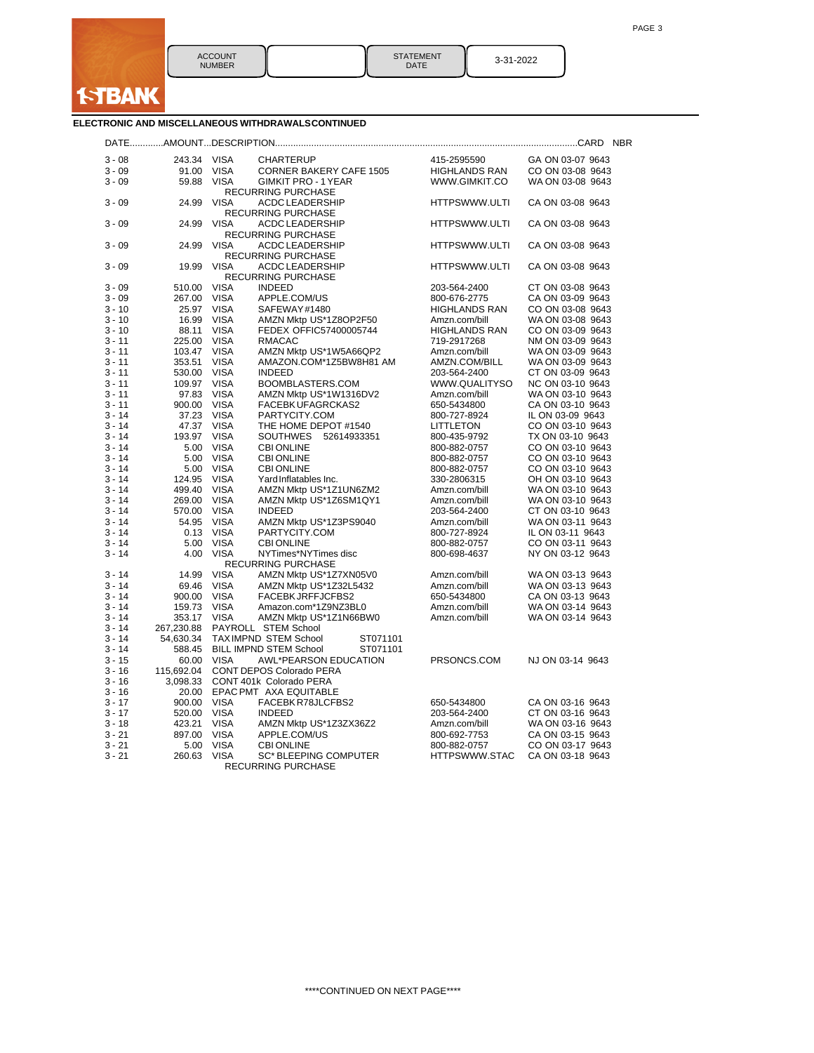| <b>STATEMENT</b> |  |
|------------------|--|
| DATE             |  |

3-31-2022

# **ELECTRONIC AND MISCELLANEOUS WITHDRAWALSCONTINUED**

| $3 - 08$             | 243.34           | <b>VISA</b>                | <b>CHARTERUP</b>                                   | 415-2595590                   | GA ON 03-07 9643                     |
|----------------------|------------------|----------------------------|----------------------------------------------------|-------------------------------|--------------------------------------|
| $3 - 09$             | 91.00            | <b>VISA</b>                | <b>CORNER BAKERY CAFE 1505</b>                     | <b>HIGHLANDS RAN</b>          | CO ON 03-08 9643                     |
| $3 - 09$             | 59.88            | <b>VISA</b>                | <b>GIMKIT PRO - 1 YEAR</b>                         | WWW.GIMKIT.CO                 | WA ON 03-08 9643                     |
|                      |                  |                            | <b>RECURRING PURCHASE</b>                          |                               |                                      |
| $3 - 09$             | 24.99            | <b>VISA</b>                | ACDC LEADERSHIP                                    | HTTPSWWW.ULTI                 | CA ON 03-08 9643                     |
|                      |                  |                            | <b>RECURRING PURCHASE</b>                          |                               |                                      |
| $3 - 09$             | 24.99            | <b>VISA</b>                | ACDC LEADERSHIP                                    | HTTPSWWW.ULTI                 | CA ON 03-08 9643                     |
|                      |                  |                            | RECURRING PURCHASE                                 |                               |                                      |
| $3 - 09$             | 24.99            | VISA                       | ACDC LEADERSHIP                                    | HTTPSWWW.ULTI                 | CA ON 03-08 9643                     |
|                      |                  |                            | <b>RECURRING PURCHASE</b>                          |                               |                                      |
| $3 - 09$             | 19.99            | <b>VISA</b>                | ACDC LEADERSHIP                                    | HTTPSWWW.ULTI                 | CA ON 03-08 9643                     |
|                      |                  |                            | <b>RECURRING PURCHASE</b>                          |                               |                                      |
| $3 - 09$             | 510.00           | <b>VISA</b>                | <b>INDEED</b>                                      | 203-564-2400                  | CT ON 03-08 9643                     |
| $3 - 09$             | 267.00           | <b>VISA</b>                | APPLE.COM/US                                       | 800-676-2775                  | CA ON 03-09 9643                     |
| $3 - 10$             | 25.97            | <b>VISA</b>                | SAFEWAY#1480                                       | <b>HIGHLANDS RAN</b>          | CO ON 03-08 9643                     |
| $3 - 10$             | 16.99            | <b>VISA</b>                | AMZN Mktp US*1Z8OP2F50                             | Amzn.com/bill                 | WA ON 03-08 9643                     |
| $3 - 10$             | 88.11            | <b>VISA</b>                | FEDEX OFFIC57400005744                             | <b>HIGHLANDS RAN</b>          | CO ON 03-09 9643                     |
| $3 - 11$             | 225.00           | <b>VISA</b>                | <b>RMACAC</b>                                      | 719-2917268                   | NM ON 03-09 9643                     |
| $3 - 11$             | 103.47           | <b>VISA</b>                | AMZN Mktp US*1W5A66QP2                             | Amzn.com/bill                 | WA ON 03-09 9643                     |
| $3 - 11$             | 353.51           | <b>VISA</b>                | AMAZON.COM*1Z5BW8H81 AM                            | AMZN.COM/BILL                 | WA ON 03-09 9643                     |
| $3 - 11$             | 530.00           | <b>VISA</b>                | <b>INDEED</b>                                      | 203-564-2400                  | CT ON 03-09 9643                     |
| $3 - 11$             | 109.97           | <b>VISA</b>                | BOOMBLASTERS.COM                                   | WWW.QUALITYSO                 | NC ON 03-10 9643                     |
| $3 - 11$             | 97.83            | <b>VISA</b>                | AMZN Mktp US*1W1316DV2                             | Amzn.com/bill                 | WA ON 03-10 9643                     |
| $3 - 11$             | 900.00           | <b>VISA</b>                | <b>FACEBK UFAGRCKAS2</b>                           | 650-5434800                   | CA ON 03-10 9643                     |
| $3 - 14$             | 37.23            | <b>VISA</b>                | PARTYCITY.COM                                      | 800-727-8924                  | IL ON 03-09 9643                     |
| $3 - 14$             | 47.37            | <b>VISA</b>                | THE HOME DEPOT #1540                               | LITTLETON                     | CO ON 03-10 9643                     |
| $3 - 14$             | 193.97           | <b>VISA</b>                | SOUTHWES 52614933351                               | 800-435-9792                  | TX ON 03-10 9643                     |
| $3 - 14$             | 5.00             | <b>VISA</b>                | <b>CBI ONLINE</b>                                  | 800-882-0757                  | CO ON 03-10 9643                     |
| 3 - 14               | 5.00             | <b>VISA</b>                | <b>CBI ONLINE</b>                                  | 800-882-0757                  | CO ON 03-10 9643                     |
| $3 - 14$             | 5.00             | <b>VISA</b>                | <b>CBI ONLINE</b>                                  | 800-882-0757                  | CO ON 03-10 9643                     |
| $3 - 14$<br>$3 - 14$ | 124.95           | <b>VISA</b>                | Yard Inflatables Inc.                              | 330-2806315                   | OH ON 03-10 9643                     |
| $3 - 14$             | 499.40<br>269.00 | <b>VISA</b><br><b>VISA</b> | AMZN Mktp US*1Z1UN6ZM2                             | Amzn.com/bill                 | WA ON 03-10 9643<br>WA ON 03-10 9643 |
| 3 - 14               |                  | <b>VISA</b>                | AMZN Mktp US*1Z6SM1QY1                             | Amzn.com/bill                 | CT ON 03-10 9643                     |
| 3 - 14               | 570.00<br>54.95  | <b>VISA</b>                | <b>INDEED</b>                                      | 203-564-2400<br>Amzn.com/bill | WA ON 03-11 9643                     |
| $3 - 14$             | 0.13             | <b>VISA</b>                | AMZN Mktp US*1Z3PS9040<br>PARTYCITY.COM            | 800-727-8924                  | IL ON 03-11 9643                     |
| $3 - 14$             | 5.00             | <b>VISA</b>                | <b>CBI ONLINE</b>                                  | 800-882-0757                  | CO ON 03-11 9643                     |
| $3 - 14$             | 4.00             | <b>VISA</b>                | NYTimes*NYTimes disc                               | 800-698-4637                  | NY ON 03-12 9643                     |
|                      |                  |                            | RECURRING PURCHASE                                 |                               |                                      |
| $3 - 14$             | 14.99            | <b>VISA</b>                | AMZN Mktp US*1Z7XN05V0                             | Amzn.com/bill                 | WA ON 03-13 9643                     |
| $3 - 14$             | 69.46            | <b>VISA</b>                | AMZN Mktp US*1Z32L5432                             | Amzn.com/bill                 | WA ON 03-13 9643                     |
| $3 - 14$             | 900.00           | <b>VISA</b>                | FACEBK JRFFJCFBS2                                  | 650-5434800                   | CA ON 03-13 9643                     |
| 3 - 14               | 159.73           | <b>VISA</b>                | Amazon.com*1Z9NZ3BL0                               | Amzn.com/bill                 | WA ON 03-14 9643                     |
| 3 - 14               | 353.17           | <b>VISA</b>                | AMZN Mktp US*1Z1N66BW0                             | Amzn.com/bill                 | WA ON 03-14 9643                     |
| $3 - 14$             | 267,230.88       |                            | PAYROLL STEM School                                |                               |                                      |
| 3 - 14               | 54,630.34        |                            | TAXIMPND STEM School<br>ST071101                   |                               |                                      |
| 3 - 14               | 588.45           |                            | BILL IMPND STEM School<br>ST071101                 |                               |                                      |
| $3 - 15$             | 60.00            | <b>VISA</b>                | AWL*PEARSON EDUCATION                              | PRSONCS.COM                   | NJ ON 03-14 9643                     |
| $3 - 16$             | 115,692.04       |                            | CONT DEPOS Colorado PERA                           |                               |                                      |
| $3 - 16$             | 3,098.33         |                            | CONT 401k Colorado PERA                            |                               |                                      |
| 3 - 16               | 20.00            |                            | EPAC PMT AXA EQUITABLE                             |                               |                                      |
| 3 - 17               | 900.00           | <b>VISA</b>                | FACEBK R78JLCFBS2                                  | 650-5434800                   | CA ON 03-16 9643                     |
| $3 - 17$             | 520.00           | <b>VISA</b>                | <b>INDEED</b>                                      | 203-564-2400                  | CT ON 03-16 9643                     |
| 3 - 18               | 423.21           | <b>VISA</b>                | AMZN Mktp US*1Z3ZX36Z2                             | Amzn.com/bill                 | WA ON 03-16 9643                     |
| 3 - 21               | 897.00           | <b>VISA</b>                | APPLE.COM/US                                       | 800-692-7753                  | CA ON 03-15 9643                     |
| 3 - 21               | 5.00             | <b>VISA</b>                | <b>CBI ONLINE</b>                                  | 800-882-0757                  | CO ON 03-17 9643                     |
| $3 - 21$             | 260.63           | <b>VISA</b>                | <b>SC* BLEEPING COMPUTER</b><br>RECURRING PURCHASE | HTTPSWWW.STAC                 | CA ON 03-18 9643                     |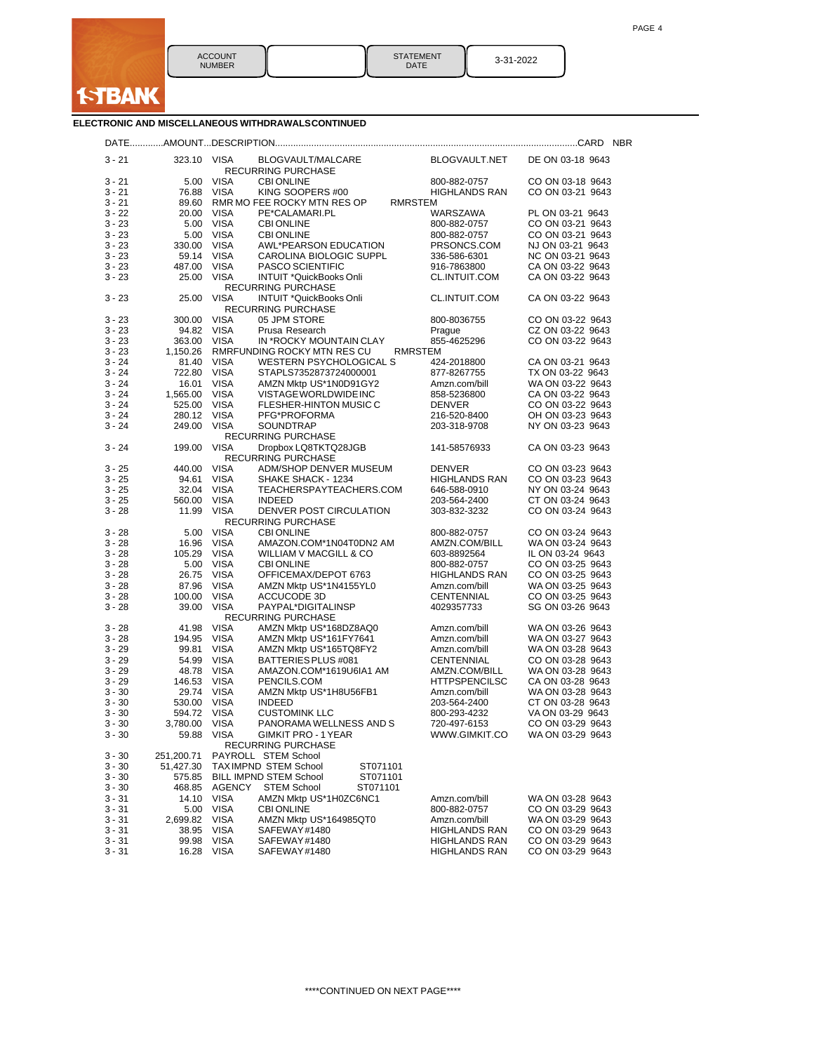

| <b>STATEMENT</b><br><b>DATE</b> | 3-31-2022 |
|---------------------------------|-----------|
|---------------------------------|-----------|

# **ELECTRONIC AND MISCELLANEOUS WITHDRAWALSCONTINUED**

| $3 - 21$ | 323.10     | VISA          | BLOGVAULT/MALCARE<br>RECURRING PURCHASE              |                | BLOGVAULT.NET        | DE ON 03-18 9643 |  |
|----------|------------|---------------|------------------------------------------------------|----------------|----------------------|------------------|--|
| $3 - 21$ | 5.00       | <b>VISA</b>   | <b>CBI ONLINE</b>                                    |                | 800-882-0757         | CO ON 03-18 9643 |  |
| $3 - 21$ | 76.88      | <b>VISA</b>   | KING SOOPERS #00                                     |                | <b>HIGHLANDS RAN</b> | CO ON 03-21 9643 |  |
| $3 - 21$ | 89.60      |               | RMR MO FEE ROCKY MTN RES OP                          | RMRSTEM        |                      |                  |  |
| $3 - 22$ | 20.00      | <b>VISA</b>   | PE*CALAMARI.PL                                       |                | WARSZAWA             | PL ON 03-21 9643 |  |
| $3 - 23$ | 5.00       | VISA          | <b>CBI ONLINE</b>                                    |                | 800-882-0757         | CO ON 03-21 9643 |  |
| $3 - 23$ | 5.00       | VISA          | <b>CBI ONLINE</b>                                    |                | 800-882-0757         | CO ON 03-21 9643 |  |
| $3 - 23$ | 330.00     | <b>VISA</b>   | AWL*PEARSON EDUCATION                                |                | PRSONCS.COM          | NJ ON 03-21 9643 |  |
|          |            |               |                                                      |                |                      |                  |  |
| 3 - 23   |            | 59.14 VISA    | CAROLINA BIOLOGIC SUPPL                              |                | 336-586-6301         | NC ON 03-21 9643 |  |
| $3 - 23$ | 487.00     | VISA          | PASCO SCIENTIFIC                                     |                | 916-7863800          | CA ON 03-22 9643 |  |
| $3 - 23$ | 25.00      | <b>VISA</b>   | INTUIT *QuickBooks Onli                              |                | CL.INTUIT.COM        | CA ON 03-22 9643 |  |
| $3 - 23$ | 25.00      | <b>VISA</b>   | <b>RECURRING PURCHASE</b><br>INTUIT *QuickBooks Onli |                | CL.INTUIT.COM        | CA ON 03-22 9643 |  |
|          |            |               | RECURRING PURCHASE                                   |                |                      |                  |  |
| 3 - 23   | 300.00     | <b>VISA</b>   | 05 JPM STORE                                         |                | 800-8036755          | CO ON 03-22 9643 |  |
| 3 - 23   | 94.82      | <b>VISA</b>   | Prusa Research                                       | Prague         |                      | CZ ON 03-22 9643 |  |
| $3 - 23$ | 363.00     | <b>VISA</b>   | IN *ROCKY MOUNTAIN CLAY                              |                | 855-4625296          | CO ON 03-22 9643 |  |
| 3 - 23   | 1,150.26   |               | RMRFUNDING ROCKY MTN RES CU                          | <b>RMRSTEM</b> |                      |                  |  |
| $3 - 24$ | 81.40      | <b>VISA</b>   | WESTERN PSYCHOLOGICAL S                              |                | 424-2018800          | CA ON 03-21 9643 |  |
| $3 - 24$ | 722.80     | <b>VISA</b>   | STAPLS7352873724000001                               |                | 877-8267755          | TX ON 03-22 9643 |  |
|          |            |               |                                                      |                |                      |                  |  |
| 3 - 24   | 16.01      | <b>VISA</b>   | AMZN Mktp US*1N0D91GY2                               |                | Amzn.com/bill        | WA ON 03-22 9643 |  |
| $3 - 24$ | 1,565.00   | VISA          | VISTAGE WORLDWIDE INC                                |                | 858-5236800          | CA ON 03-22 9643 |  |
| $3 - 24$ | 525.00     | <b>VISA</b>   | FLESHER-HINTON MUSIC C                               | <b>DENVER</b>  |                      | CO ON 03-22 9643 |  |
| 3 - 24   | 280.12     | VISA          | PFG*PROFORMA                                         |                | 216-520-8400         | OH ON 03-23 9643 |  |
| $3 - 24$ | 249.00     | <b>VISA</b>   | <b>SOUNDTRAP</b>                                     |                | 203-318-9708         | NY ON 03-23 9643 |  |
| $3 - 24$ | 199.00     | <b>VISA</b>   | <b>RECURRING PURCHASE</b><br>Dropbox LQ8TKTQ28JGB    |                | 141-58576933         | CA ON 03-23 9643 |  |
|          |            |               | <b>RECURRING PURCHASE</b>                            |                |                      |                  |  |
| $3 - 25$ | 440.00     | <b>VISA</b>   | ADM/SHOP DENVER MUSEUM                               | <b>DENVER</b>  |                      | CO ON 03-23 9643 |  |
| 3 - 25   | 94.61      | <b>VISA</b>   | SHAKE SHACK - 1234                                   |                | <b>HIGHLANDS RAN</b> | CO ON 03-23 9643 |  |
| $3 - 25$ | 32.04      | <b>VISA</b>   | TEACHERSPAYTEACHERS.COM                              |                | 646-588-0910         | NY ON 03-24 9643 |  |
| $3 - 25$ | 560.00     | <b>VISA</b>   | <b>INDEED</b>                                        |                | 203-564-2400         | CT ON 03-24 9643 |  |
| $3 - 28$ | 11.99      | <b>VISA</b>   | DENVER POST CIRCULATION<br><b>RECURRING PURCHASE</b> |                | 303-832-3232         | CO ON 03-24 9643 |  |
| 3 - 28   | 5.00       | <b>VISA</b>   | <b>CBI ONLINE</b>                                    |                | 800-882-0757         | CO ON 03-24 9643 |  |
| 3 - 28   | 16.96      | VISA          | AMAZON.COM*1N04T0DN2 AM                              |                | AMZN.COM/BILL        | WA ON 03-24 9643 |  |
| $3 - 28$ | 105.29     | <b>VISA</b>   | WILLIAM V MACGILL & CO                               |                | 603-8892564          | IL ON 03-24 9643 |  |
|          |            |               |                                                      |                |                      |                  |  |
| $3 - 28$ | 5.00       | <b>VISA</b>   | <b>CBI ONLINE</b>                                    |                | 800-882-0757         | CO ON 03-25 9643 |  |
| $3 - 28$ | 26.75      | VISA          | OFFICEMAX/DEPOT 6763                                 |                | <b>HIGHLANDS RAN</b> | CO ON 03-25 9643 |  |
| 3 - 28   | 87.96      | <b>VISA</b>   | AMZN Mktp US*1N4155YL0                               |                | Amzn.com/bill        | WA ON 03-25 9643 |  |
| $3 - 28$ | 100.00     | <b>VISA</b>   | ACCUCODE 3D                                          |                | CENTENNIAL           | CO ON 03-25 9643 |  |
| $3 - 28$ | 39.00      | <b>VISA</b>   | PAYPAL*DIGITALINSP<br><b>RECURRING PURCHASE</b>      |                | 4029357733           | SG ON 03-26 9643 |  |
| 3 - 28   | 41.98      | <b>VISA</b>   | AMZN Mktp US*168DZ8AQ0                               |                | Amzn.com/bill        | WA ON 03-26 9643 |  |
| 3 - 28   | 194.95     | <b>VISA</b>   | AMZN Mktp US*161FY7641                               |                | Amzn.com/bill        | WA ON 03-27 9643 |  |
| $3 - 29$ | 99.81      | <b>VISA</b>   | AMZN Mktp US*165TQ8FY2                               |                | Amzn.com/bill        | WA ON 03-28 9643 |  |
| $3 - 29$ | 54.99      | <b>VISA</b>   | BATTERIES PLUS #081                                  |                | CENTENNIAL           | CO ON 03-28 9643 |  |
| 3 - 29   | 48.78      | VISA          | AMAZON.COM*1619U6IA1 AM                              |                | AMZN.COM/BILL        | WA ON 03-28 9643 |  |
| $3 - 29$ | 146.53     | VISA          | PENCILS.COM                                          |                | <b>HTTPSPENCILSC</b> | CA ON 03-28 9643 |  |
| $3 - 30$ |            | 29.74 VISA    | AMZN Mktp US*1H8U56FB1                               |                | Amzn.com/bill        | WA ON 03-28 9643 |  |
|          |            |               |                                                      |                |                      |                  |  |
| $3 - 30$ | 530.00     | <b>VISA</b>   | <b>INDEED</b>                                        |                | 203-564-2400         | CT ON 03-28 9643 |  |
| $3 - 30$ | 594.72     | <b>VISA</b>   | <b>CUSTOMINK LLC</b>                                 |                | 800-293-4232         | VA ON 03-29 9643 |  |
| $3 - 30$ | 3,780.00   | <b>VISA</b>   | PANORAMA WELLNESS AND S                              |                | 720-497-6153         | CO ON 03-29 9643 |  |
| 3 - 30   | 59.88      | VISA          | GIMKIT PRO - 1 YEAR<br>RECURRING PURCHASE            |                | WWW.GIMKIT.CO        | WA ON 03-29 9643 |  |
| $3 - 30$ | 251,200.71 |               | PAYROLL STEM School                                  |                |                      |                  |  |
| $3 - 30$ | 51,427.30  |               | <b>TAXIMPND STEM School</b><br>ST071101              |                |                      |                  |  |
| $3 - 30$ | 575.85     |               | <b>BILL IMPND STEM School</b><br>ST071101            |                |                      |                  |  |
| $3 - 30$ |            | 468.85 AGENCY | <b>STEM School</b><br>ST071101                       |                |                      |                  |  |
| 3 - 31   |            | 14.10 VISA    | AMZN Mktp US*1H0ZC6NC1                               |                | Amzn.com/bill        | WA ON 03-28 9643 |  |
| $3 - 31$ |            | 5.00 VISA     | <b>CBI ONLINE</b>                                    |                | 800-882-0757         | CO ON 03-29 9643 |  |
|          |            |               |                                                      |                |                      |                  |  |
| $3 - 31$ | 2,699.82   | <b>VISA</b>   | AMZN Mktp US*164985QT0                               |                | Amzn.com/bill        | WA ON 03-29 9643 |  |
| 3 - 31   | 38.95      | VISA          | SAFEWAY#1480                                         |                | <b>HIGHLANDS RAN</b> | CO ON 03-29 9643 |  |
| $3 - 31$ | 99.98      | VISA          | SAFEWAY#1480                                         |                | HIGHLANDS RAN        | CO ON 03-29 9643 |  |
| $3 - 31$ |            | 16.28 VISA    | SAFEWAY#1480                                         |                | HIGHLANDS RAN        | CO ON 03-29 9643 |  |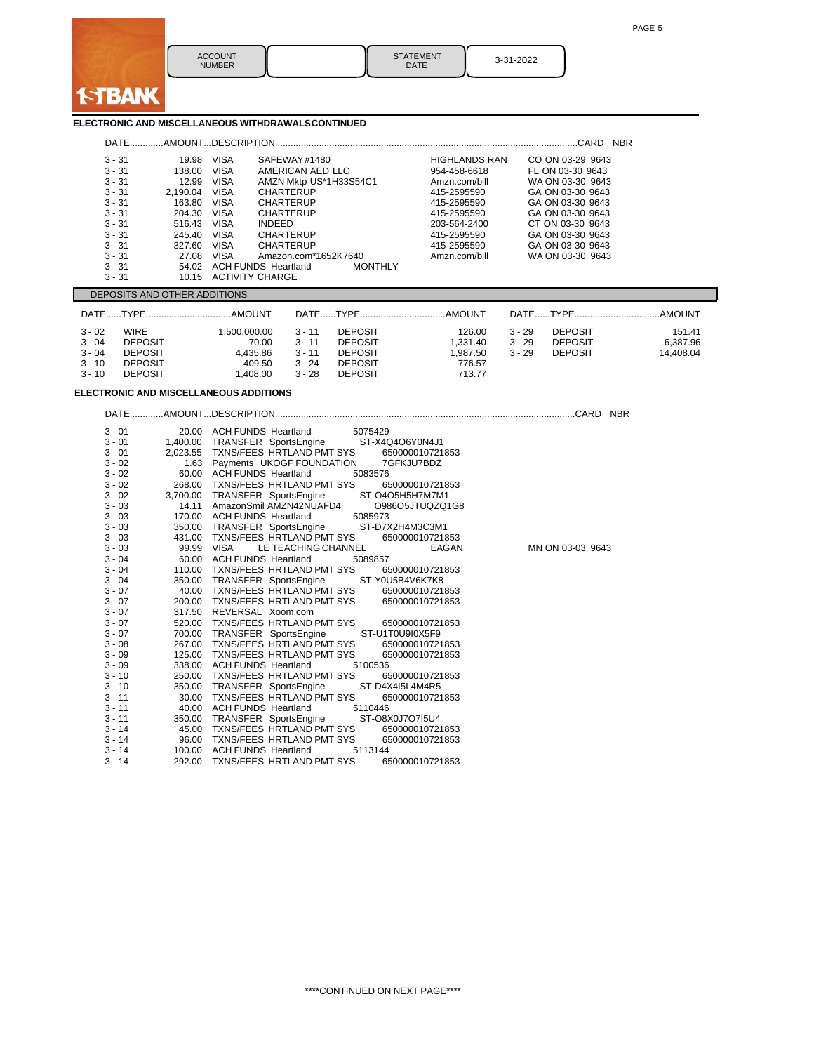

STATEMENT<br>DATE 3-31-2022

### **ELECTRONIC AND MISCELLANEOUS WITHDRAWALSCONTINUED**

| <b>DATE</b> |          |             | AMOUNTDESCRIPTION                            |                      | <b>NBR</b><br>CARD |
|-------------|----------|-------------|----------------------------------------------|----------------------|--------------------|
| $3 - 31$    | 19.98    | <b>VISA</b> | SAFEWAY#1480                                 | <b>HIGHLANDS RAN</b> | CO ON 03-29 9643   |
| $3 - 31$    | 138.00   | <b>VISA</b> | AMERICAN AED LLC                             | 954-458-6618         | FL ON 03-30 9643   |
| $3 - 31$    | 12.99    | <b>VISA</b> | AMZN Mktp US*1H33S54C1                       | Amzn.com/bill        | WA ON 03-30 9643   |
| $3 - 31$    | 2.190.04 | <b>VISA</b> | <b>CHARTERUP</b>                             | 415-2595590          | GA ON 03-30 9643   |
| $3 - 31$    | 163.80   | <b>VISA</b> | <b>CHARTERUP</b>                             | 415-2595590          | GA ON 03-30 9643   |
| $3 - 31$    | 204.30   | <b>VISA</b> | <b>CHARTERUP</b>                             | 415-2595590          | GA ON 03-30 9643   |
| $3 - 31$    | 516.43   | <b>VISA</b> | <b>INDEED</b>                                | 203-564-2400         | CT ON 03-30 9643   |
| $3 - 31$    | 245.40   | <b>VISA</b> | <b>CHARTERUP</b>                             | 415-2595590          | GA ON 03-30 9643   |
| $3 - 31$    | 327.60   | <b>VISA</b> | <b>CHARTERUP</b>                             | 415-2595590          | GA ON 03-30 9643   |
| $3 - 31$    | 27.08    | <b>VISA</b> | Amazon.com*1652K7640                         | Amzn.com/bill        | WA ON 03-30 9643   |
| $3 - 31$    | 54.02    |             | <b>MONTHLY</b><br><b>ACH FUNDS Heartland</b> |                      |                    |
| $3 - 31$    | 10.15    |             | <b>ACTIVITY CHARGE</b>                       |                      |                    |

#### DEPOSITS AND OTHER ADDITIONS

|                                                          |                                                                                     |                                                        |                                                          |                                                                                        |                                                   |                                  |                                                    | AMOUNT                          |
|----------------------------------------------------------|-------------------------------------------------------------------------------------|--------------------------------------------------------|----------------------------------------------------------|----------------------------------------------------------------------------------------|---------------------------------------------------|----------------------------------|----------------------------------------------------|---------------------------------|
| $3 - 02$<br>$3 - 04$<br>$3 - 04$<br>$3 - 10$<br>$3 - 10$ | <b>WIRE</b><br><b>DEPOSIT</b><br><b>DEPOSIT</b><br><b>DEPOSIT</b><br><b>DEPOSIT</b> | 1.500.000.00<br>70.00<br>4.435.86<br>409.50<br>.408.00 | $3 - 11$<br>$3 - 11$<br>$3 - 11$<br>$3 - 24$<br>$3 - 28$ | <b>DEPOSIT</b><br><b>DEPOSIT</b><br><b>DEPOSIT</b><br><b>DEPOSIT</b><br><b>DEPOSIT</b> | 126.00<br>1.331.40<br>.987.50<br>776.57<br>713.77 | $3 - 29$<br>$3 - 29$<br>$3 - 29$ | <b>DEPOSIT</b><br><b>DEPOSIT</b><br><b>DEPOSIT</b> | 151.41<br>6.387.96<br>14.408.04 |

## **ELECTRONIC AND MISCELLANEOUS ADDITIONS**

3 - 01 20.00 ACH FUNDS Heartland 5075429<br>3 - 01 1,400.00 TRANSFER SportsEngine ST-X4Q4O6Y0N4J1 3 - 01 1,400.00 TRANSFER SportsEngine ST-X4Q4O6Y0N4J1 3 - 01 2,023.55 TXNS/FEES HRTLAND PMT SYS 650000010721853 3 - 02 1.63 Payments UKOGF FOUNDATION 7GFKJU7BDZ<br>3 - 02 60.00 ACH FUNDS Heartland 5083576 3 - 02 60.00 ACH FUNDS Heartland 5083576 3 - 02 268.00 TXNS/FEES HRTLAND PMT SYS 650000010721853 3 - 02 3,700.00 TRANSFER SportsEngine ST-O4O5H5H7M7M1 3 - 03 14.11 AmazonSmil AMZN42NUAFD4 098<br>3 - 03 170.00 ACH FUNDS Heartland 5085973 3 - 03 170.00 ACH FUNDS Heartland 5085973<br>3 - 03 350.00 TRANSFER SportsEngine ST-D7X2H4M3C3M1 3 - 03 350.00 TRANSFER SportsEngine ST-D7X2H4M3C3M1<br>3 - 03 431.00 TXNS/FEES HRTLAND PMT SYS 650000010721853 3 - 03 431.00 TXNS/FEES HRTLAND PMT SYS<br>3 - 03 99.99 VISA LE TEACHING CHANNEL EAGAN 3 - 03 99.99 VISA LE TEACHING CHANNEL EAGAN MN ON 03-03 9643<br>3 - 04 60.00 ACH FUNDS Heartland 5089857 60.00 ACH FUNDS Heartland 5089857<br>110.00 TXNS/FEES HRTLAND PMT SYS 650000010721853 3 - 04 110.00 TXNS/FEES HRTLAND PMT SYS 650000010721<br>3 - 04 350.00 TRANSFER SportsEngine ST-Y0U5B4V6K7K8 3 - 04 350.00 TRANSFER SportsEngine ST-Y0U5B4V6K7K8<br>3 - 07 40.00 TXNS/FEES HRTLAND PMT SYS 650000010721853 40.00 TXNS/FEES HRTLAND PMT SYS<br>200.00 TXNS/FEES HRTLAND PMT SYS 3 - 07 200.00 TXNS/FEES HRTLAND PMT SYS 650000010721853<br>3 - 07 317 50 REVERSAL Xoom com 3 - 07 317.50 REVERSAL Xoom.com 3 - 07 520.00 TXNS/FEES HRTLAND PMT SYS 650000010721853 3 - 07 700.00 TRANSFER SportsEngine ST-U1T0U9I0X5F9 3 - 08 267.00 TXNS/FEES HRTLAND PMT SYS 650000010721853 3 - 09 125.00 TXNS/FEES HRTLAND PMT SYS 650000010721853 3 - 09 338.00 ACH FUNDS Heartland 5100536<br>3 - 10 250.00 TXNS/FEES HRTLAND PMT SYS 650000010721853 3 - 10 250.00 TXNS/FEES HRTLAND PMT SYS<br>3 - 10 350.00 TRANSFER SportsEngine ST-D4X4I5L4M4R5 350.00 TRANSFER SportsEngine 3 - 11 30.00 TXNS/FEES HRTLAND PMT SYS 650000010721853<br>3 - 11 40.00 ACH FUNDS Heartland 5110446 3 - 11 40.00 ACH FUNDS Heartland 5110446 3 - 11 350.00 TRANSFER SportsEngine ST-O8X0J7O7I5U4 3 - 14 45.00 TXNS/FEES HRTLAND PMT SYS 650000010721853 3 - 14 96.00 TXNS/FEES HRTLAND PMT SYS 65<br>3 - 14 100.00 ACH FUNDS Heartland 5113144 3 - 14 100.00 ACH FUNDS Heartland 5113144<br>3 - 14 292.00 TXNS/FEES HRTLAND PMT SYS 650000010721853 292.00 TXNS/FEES HRTLAND PMT SYS

DATE.............AMOUNT...DESCRIPTION....................................................................................................................CARD NBR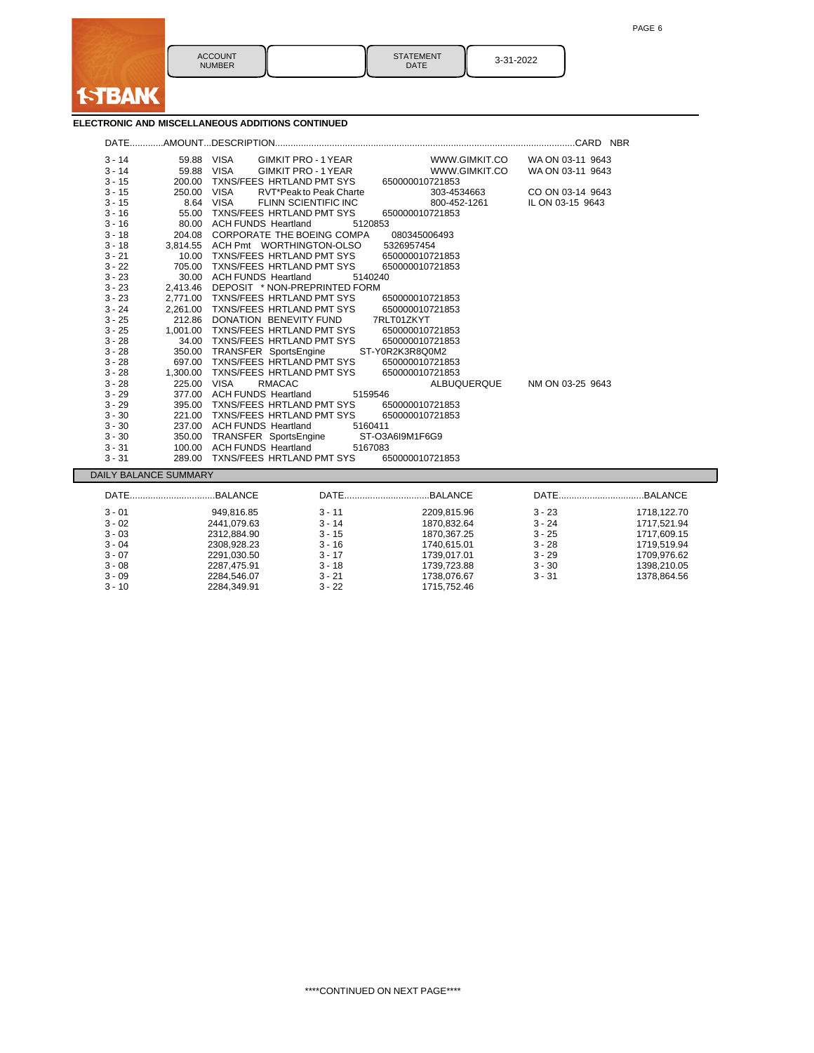

ACCOUNT **NUMBER** 

STATEMENT<br>DATE 3-31-2022

## **ELECTRONIC AND MISCELLANEOUS ADDITIONS CONTINUED**

| $3 - 14$ | 59.88 VISA            |                               | GIMKIT PRO - 1 YEAR                    | WWW.GIMKIT.CO   | WA ON 03-11 9643 |             |
|----------|-----------------------|-------------------------------|----------------------------------------|-----------------|------------------|-------------|
| $3 - 14$ | 59.88 VISA            |                               | GIMKIT PRO - 1 YEAR                    | WWW.GIMKIT.CO   | WA ON 03-11 9643 |             |
| $3 - 15$ | 200.00                |                               | TXNS/FEES HRTLAND PMT SYS              | 650000010721853 |                  |             |
| $3 - 15$ | 250.00 VISA           |                               | RVT*Peak to Peak Charte                | 303-4534663     | CO ON 03-14 9643 |             |
| $3 - 15$ |                       | 8.64 VISA                     | FLINN SCIENTIFIC INC                   | 800-452-1261    | IL ON 03-15 9643 |             |
| $3 - 16$ |                       |                               | 55.00 TXNS/FEES HRTLAND PMT SYS        | 650000010721853 |                  |             |
| $3 - 16$ |                       | 80.00 ACH FUNDS Heartland     | 5120853                                |                 |                  |             |
| $3 - 18$ |                       |                               | 204.08 CORPORATE THE BOEING COMPA      | 080345006493    |                  |             |
| $3 - 18$ |                       |                               | 3,814.55 ACH Pmt WORTHINGTON-OLSO      | 5326957454      |                  |             |
| $3 - 21$ |                       |                               | 10.00 TXNS/FEES HRTLAND PMT SYS        | 650000010721853 |                  |             |
| $3 - 22$ | 705.00                |                               | TXNS/FEES HRTLAND PMT SYS              | 650000010721853 |                  |             |
| $3 - 23$ |                       | 30.00 ACH FUNDS Heartland     | 5140240                                |                 |                  |             |
| $3 - 23$ |                       |                               | 2,413.46 DEPOSIT * NON-PREPRINTED FORM |                 |                  |             |
| $3 - 23$ |                       |                               | 2,771.00 TXNS/FEES HRTLAND PMT SYS     | 650000010721853 |                  |             |
| $3 - 24$ |                       |                               | 2.261.00 TXNS/FEES HRTLAND PMT SYS     | 650000010721853 |                  |             |
| $3 - 25$ |                       | 212.86 DONATION BENEVITY FUND |                                        | 7RLT01ZKYT      |                  |             |
| $3 - 25$ |                       |                               | 1,001.00 TXNS/FEES HRTLAND PMT SYS     | 650000010721853 |                  |             |
| $3 - 28$ |                       |                               | 34.00 TXNS/FEES HRTLAND PMT SYS        | 650000010721853 |                  |             |
| $3 - 28$ |                       | 350.00 TRANSFER SportsEngine  |                                        | ST-Y0R2K3R8Q0M2 |                  |             |
| $3 - 28$ |                       |                               | 697.00 TXNS/FEES HRTLAND PMT SYS       | 650000010721853 |                  |             |
| $3 - 28$ |                       |                               | 1,300.00 TXNS/FEES HRTLAND PMT SYS     | 650000010721853 |                  |             |
| $3 - 28$ | 225.00 VISA           | <b>RMACAC</b>                 |                                        | ALBUQUERQUE     | NM ON 03-25 9643 |             |
| $3 - 29$ |                       | 377.00 ACH FUNDS Heartland    | 5159546                                |                 |                  |             |
| $3 - 29$ |                       |                               | 395.00 TXNS/FEES HRTLAND PMT SYS       | 650000010721853 |                  |             |
| $3 - 30$ |                       |                               | 221.00 TXNS/FEES HRTLAND PMT SYS       | 650000010721853 |                  |             |
| $3 - 30$ |                       | 237.00 ACH FUNDS Heartland    | 5160411                                |                 |                  |             |
| $3 - 30$ |                       | 350.00 TRANSFER SportsEngine  |                                        | ST-O3A6I9M1F6G9 |                  |             |
| $3 - 31$ |                       | 100.00 ACH FUNDS Heartland    | 5167083                                |                 |                  |             |
| $3 - 31$ |                       |                               | 289.00 TXNS/FEES HRTLAND PMT SYS       | 650000010721853 |                  |             |
|          | DAILY BALANCE SUMMARY |                               |                                        |                 |                  |             |
|          | DATEBALANCE           |                               |                                        | DATEBALANCE     |                  |             |
|          |                       |                               |                                        |                 |                  |             |
| $3 - 01$ |                       | 949,816.85                    | $3 - 11$                               | 2209,815.96     | $3 - 23$         | 1718,122.70 |
| $3 - 02$ |                       | 2441,079.63                   | $3 - 14$                               | 1870,832.64     | 3 - 24           | 1717,521.94 |
| $3 - 03$ |                       | 2312,884.90                   | $3 - 15$                               | 1870,367.25     | $3 - 25$         | 1717,609.15 |
| $3 - 04$ |                       | 2308,928.23                   | $3 - 16$                               | 1740,615.01     | $3 - 28$         | 1719,519.94 |
| $3 - 07$ |                       | 2291,030.50                   | $3 - 17$                               | 1739,017.01     | $3 - 29$         | 1709,976.62 |
| $3 - 08$ |                       | 2287,475.91                   | $3 - 18$                               | 1739,723.88     | $3 - 30$         | 1398,210.05 |
| $3 - 09$ |                       | 2284,546.07                   | $3 - 21$                               | 1738,076.67     | $3 - 31$         | 1378,864.56 |
| 3 - 10   |                       | 2284.349.91                   | $3 - 22$                               | 1715.752.46     |                  |             |